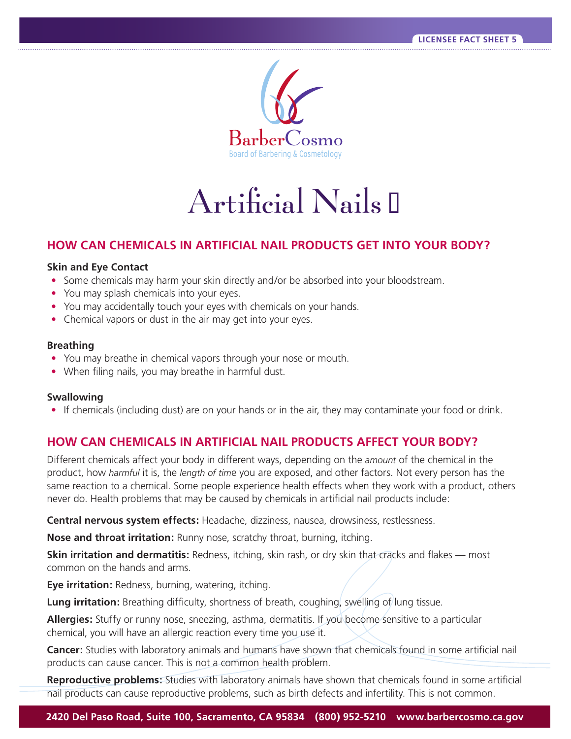

# $Artificial Nails$

## **HOW CAN CHEMICALS IN ARTIFICIAL NAIL PRODUCTS GET INTO YOUR BODY?**

#### **Skin and Eye Contact**

- Some chemicals may harm your skin directly and/or be absorbed into your bloodstream.
- You may splash chemicals into your eyes.
- You may accidentally touch your eyes with chemicals on your hands.
- Chemical vapors or dust in the air may get into your eyes.

#### **Breathing**

- You may breathe in chemical vapors through your nose or mouth.
- When filing nails, you may breathe in harmful dust.

#### **Swallowing**

• If chemicals (including dust) are on your hands or in the air, they may contaminate your food or drink.

### **HOW CAN CHEMICALS IN ARTIFICIAL NAIL PRODUCTS AFFECT YOUR BODY?**

Different chemicals affect your body in different ways, depending on the *amount* of the chemical in the product, how *harmful* it is, the *length of tim*e you are exposed, and other factors. Not every person has the same reaction to a chemical. Some people experience health effects when they work with a product, others never do. Health problems that may be caused by chemicals in artifcial nail products include:

**Central nervous system effects:** Headache, dizziness, nausea, drowsiness, restlessness.

**Nose and throat irritation:** Runny nose, scratchy throat, burning, itching.

**Skin irritation and dermatitis:** Redness, itching, skin rash, or dry skin that cracks and flakes — most common on the hands and arms.

**Eye irritation:** Redness, burning, watering, itching.

**Lung irritation:** Breathing difficulty, shortness of breath, coughing, swelling of lung tissue.

**Allergies:** Stuffy or runny nose, sneezing, asthma, dermatitis. If you become sensitive to a particular chemical, you will have an allergic reaction every time you use it.

**Cancer:** Studies with laboratory animals and humans have shown that chemicals found in some artifcial nail products can cause cancer. This is not a common health problem.

**Reproductive problems:** Studies with laboratory animals have shown that chemicals found in some artificial nail products can cause reproductive problems, such as birth defects and infertility. This is not common.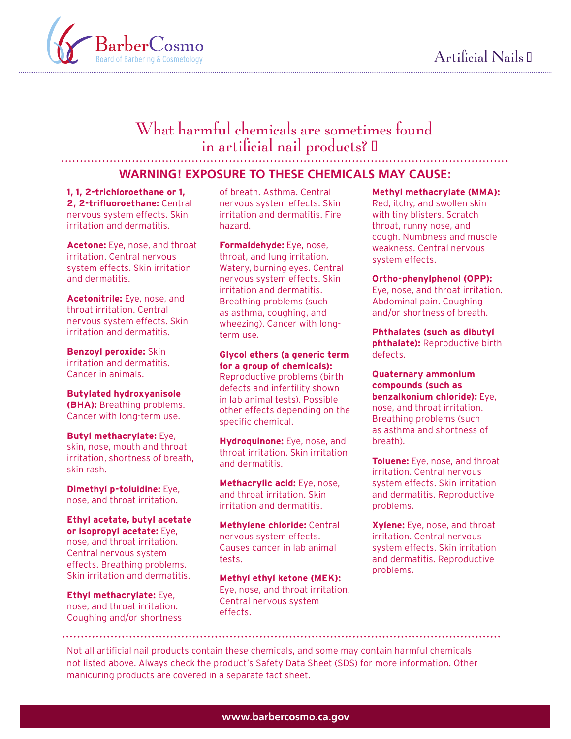

# What harmful chemicals are sometimes found in artificial nail products?  $\mathbb I$

#### **WARNING! EXPOSURE TO THESE CHEMICALS MAY CAUSE:**

**1, 1, 2-trichloroethane or 1, 2, 2-trifuoroethane:** Central nervous system effects. Skin irritation and dermatitis.

**Acetone:** Eye, nose, and throat irritation. Central nervous system effects. Skin irritation and dermatitis.

**Acetonitrile:** Eye, nose, and throat irritation. Central nervous system effects. Skin irritation and dermatitis.

**Benzoyl peroxide:** Skin irritation and dermatitis. Cancer in animals.

**Butylated hydroxyanisole (BHA):** Breathing problems. Cancer with long-term use.

**Butyl methacrylate:** Eye, skin, nose, mouth and throat irritation, shortness of breath, skin rash.

**Dimethyl p-toluidine:** Eye, nose, and throat irritation.

**Ethyl acetate, butyl acetate or isopropyl acetate:** Eye, nose, and throat irritation. Central nervous system effects. Breathing problems. Skin irritation and dermatitis.

**Ethyl methacrylate:** Eye, nose, and throat irritation. Coughing and/or shortness of breath. Asthma. Central nervous system effects. Skin irritation and dermatitis. Fire hazard.

**Formaldehyde:** Eye, nose, throat, and lung irritation. Watery, burning eyes. Central nervous system effects. Skin irritation and dermatitis. Breathing problems (such as asthma, coughing, and wheezing). Cancer with longterm use.

**Glycol ethers (a generic term for a group of chemicals):**  Reproductive problems (birth defects and infertility shown in lab animal tests). Possible other effects depending on the specific chemical.

**Hydroquinone:** Eye, nose, and throat irritation. Skin irritation and dermatitis.

**Methacrylic acid:** Eye, nose, and throat irritation. Skin irritation and dermatitis.

**Methylene chloride:** Central nervous system effects. Causes cancer in lab animal tests.

**Methyl ethyl ketone (MEK):**  Eye, nose, and throat irritation. Central nervous system effects.

#### **Methyl methacrylate (MMA):**

Red, itchy, and swollen skin with tiny blisters. Scratch throat, runny nose, and cough. Numbness and muscle weakness. Central nervous system effects.

#### **Ortho-phenylphenol (OPP):**

Eye, nose, and throat irritation. Abdominal pain. Coughing and/or shortness of breath.

**Phthalates (such as dibutyl phthalate):** Reproductive birth defects.

**Quaternary ammonium compounds (such as benzalkonium chloride):** Eye, nose, and throat irritation. Breathing problems (such as asthma and shortness of breath).

**Toluene:** Eye, nose, and throat irritation. Central nervous system effects. Skin irritation and dermatitis. Reproductive problems.

**Xylene:** Eye, nose, and throat irritation. Central nervous system effects. Skin irritation and dermatitis. Reproductive problems.

Not all artifcial nail products contain these chemicals, and some may contain harmful chemicals not listed above. Always check the product's Safety Data Sheet (SDS) for more information. Other manicuring products are covered in a separate fact sheet.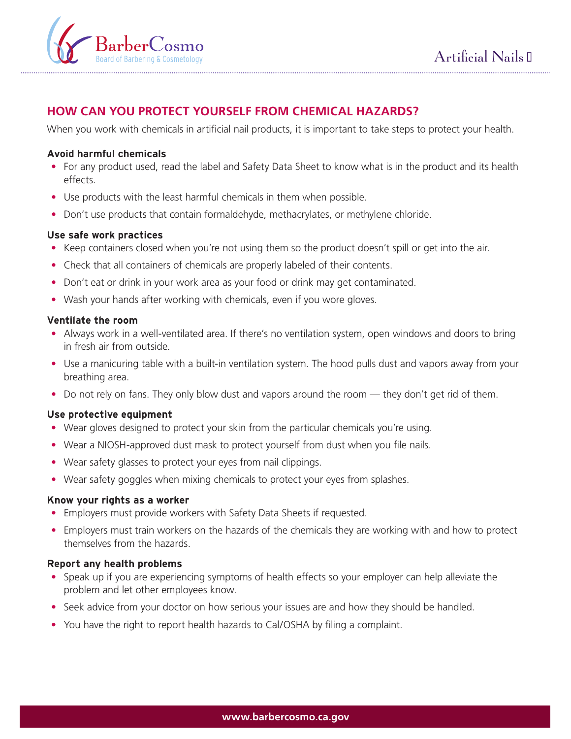



# **HOW CAN YOU PROTECT YOURSELF FROM CHEMICAL HAZARDS?**

When you work with chemicals in artificial nail products, it is important to take steps to protect your health.

#### **Avoid harmful chemicals**

- For any product used, read the label and Safety Data Sheet to know what is in the product and its health effects.
- Use products with the least harmful chemicals in them when possible.
- Don't use products that contain formaldehyde, methacrylates, or methylene chloride.

#### **Use safe work practices**

- Keep containers closed when you're not using them so the product doesn't spill or get into the air.
- Check that all containers of chemicals are properly labeled of their contents.
- Don't eat or drink in your work area as your food or drink may get contaminated.
- Wash your hands after working with chemicals, even if you wore gloves.

#### **Ventilate the room**

- Always work in a well-ventilated area. If there's no ventilation system, open windows and doors to bring in fresh air from outside.
- Use a manicuring table with a built-in ventilation system. The hood pulls dust and vapors away from your breathing area.
- Do not rely on fans. They only blow dust and vapors around the room they don't get rid of them.

#### **Use protective equipment**

- Wear gloves designed to protect your skin from the particular chemicals you're using.
- Wear a NIOSH-approved dust mask to protect yourself from dust when you file nails.
- Wear safety glasses to protect your eyes from nail clippings.
- Wear safety goggles when mixing chemicals to protect your eyes from splashes.

#### **Know your rights as a worker**

- Employers must provide workers with Safety Data Sheets if requested.
- Employers must train workers on the hazards of the chemicals they are working with and how to protect themselves from the hazards.

#### **Report any health problems**

- Speak up if you are experiencing symptoms of health effects so your employer can help alleviate the problem and let other employees know.
- Seek advice from your doctor on how serious your issues are and how they should be handled.
- You have the right to report health hazards to Cal/OSHA by filing a complaint.